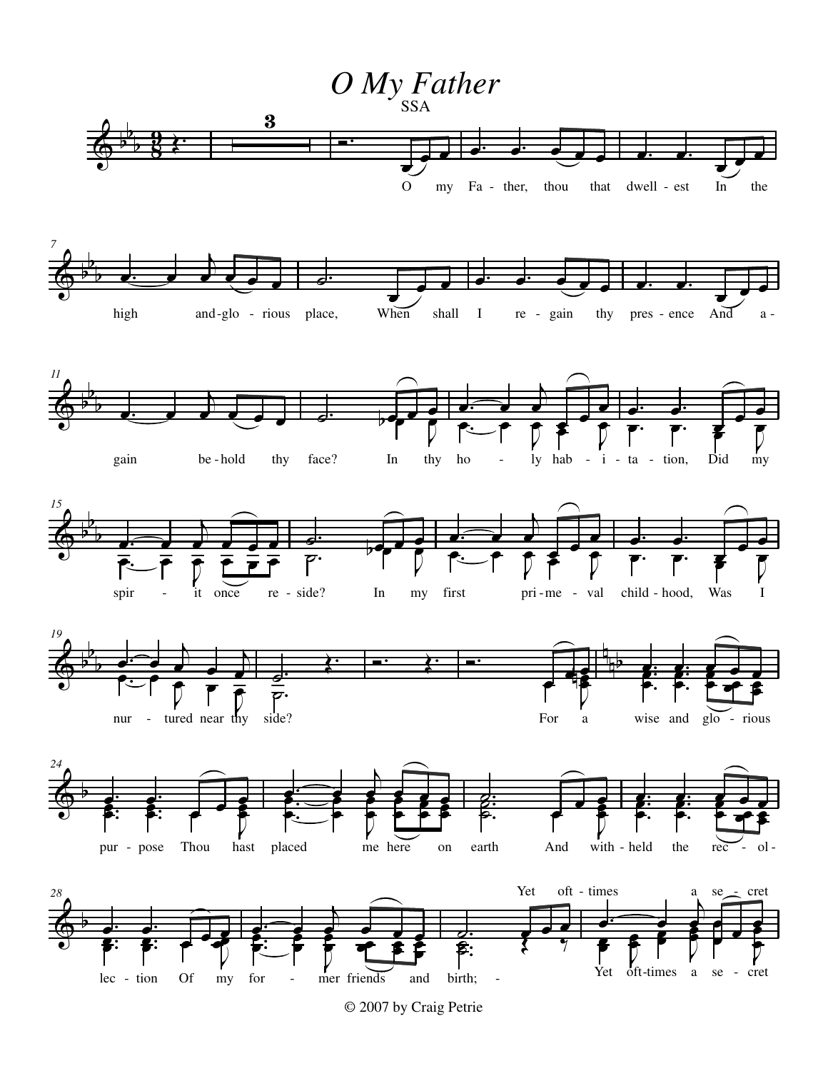

<sup>© 2007</sup> by Craig Petrie